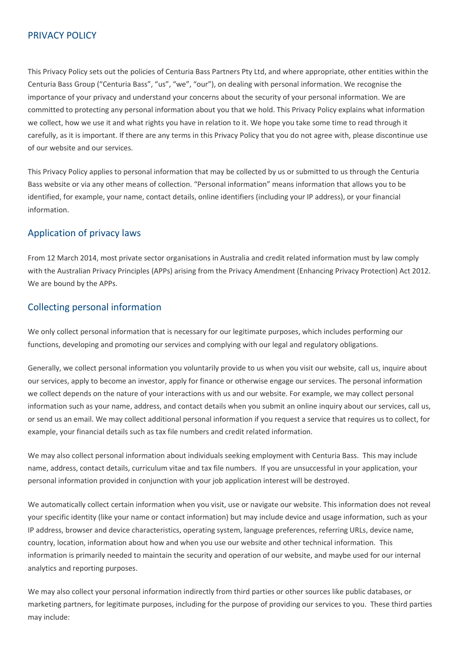### PRIVACY POLICY

This Privacy Policy sets out the policies of Centuria Bass Partners Pty Ltd, and where appropriate, other entities within the Centuria Bass Group ("Centuria Bass", "us", "we", "our"), on dealing with personal information. We recognise the importance of your privacy and understand your concerns about the security of your personal information. We are committed to protecting any personal information about you that we hold. This Privacy Policy explains what information we collect, how we use it and what rights you have in relation to it. We hope you take some time to read through it carefully, as it is important. If there are any terms in this Privacy Policy that you do not agree with, please discontinue use of our website and our services.

This Privacy Policy applies to personal information that may be collected by us or submitted to us through the Centuria Bass website or via any other means of collection. "Personal information" means information that allows you to be identified, for example, your name, contact details, online identifiers (including your IP address), or your financial information.

# Application of privacy laws

From 12 March 2014, most private sector organisations in Australia and credit related information must by law comply with the Australian Privacy Principles (APPs) arising from the Privacy Amendment (Enhancing Privacy Protection) Act 2012. We are bound by the APPs.

# Collecting personal information

We only collect personal information that is necessary for our legitimate purposes, which includes performing our functions, developing and promoting our services and complying with our legal and regulatory obligations.

Generally, we collect personal information you voluntarily provide to us when you visit our website, call us, inquire about our services, apply to become an investor, apply for finance or otherwise engage our services. The personal information we collect depends on the nature of your interactions with us and our website. For example, we may collect personal information such as your name, address, and contact details when you submit an online inquiry about our services, call us, or send us an email. We may collect additional personal information if you request a service that requires us to collect, for example, your financial details such as tax file numbers and credit related information.

We may also collect personal information about individuals seeking employment with Centuria Bass. This may include name, address, contact details, curriculum vitae and tax file numbers. If you are unsuccessful in your application, your personal information provided in conjunction with your job application interest will be destroyed.

We automatically collect certain information when you visit, use or navigate our website. This information does not reveal your specific identity (like your name or contact information) but may include device and usage information, such as your IP address, browser and device characteristics, operating system, language preferences, referring URLs, device name, country, location, information about how and when you use our website and other technical information. This information is primarily needed to maintain the security and operation of our website, and maybe used for our internal analytics and reporting purposes.

We may also collect your personal information indirectly from third parties or other sources like public databases, or marketing partners, for legitimate purposes, including for the purpose of providing our services to you. These third parties may include: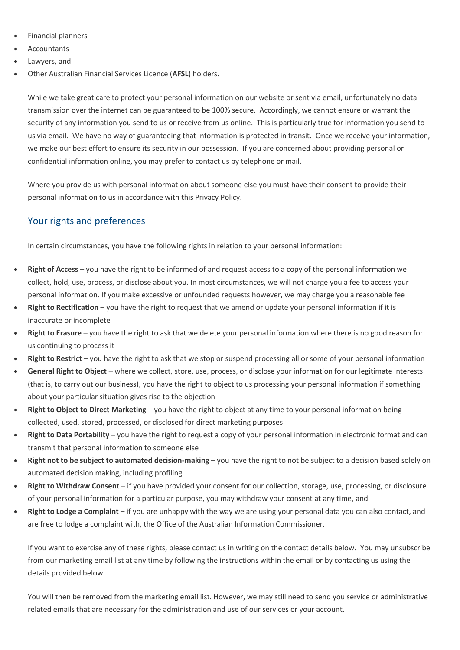- Financial planners
- Accountants
- Lawyers, and
- Other Australian Financial Services Licence (**AFSL**) holders.

While we take great care to protect your personal information on our website or sent via email, unfortunately no data transmission over the internet can be guaranteed to be 100% secure. Accordingly, we cannot ensure or warrant the security of any information you send to us or receive from us online. This is particularly true for information you send to us via email. We have no way of guaranteeing that information is protected in transit. Once we receive your information, we make our best effort to ensure its security in our possession. If you are concerned about providing personal or confidential information online, you may prefer to contact us by telephone or mail.

Where you provide us with personal information about someone else you must have their consent to provide their personal information to us in accordance with this Privacy Policy.

# Your rights and preferences

In certain circumstances, you have the following rights in relation to your personal information:

- **Right of Access** you have the right to be informed of and request access to a copy of the personal information we collect, hold, use, process, or disclose about you. In most circumstances, we will not charge you a fee to access your personal information. If you make excessive or unfounded requests however, we may charge you a reasonable fee
- **Right to Rectification** you have the right to request that we amend or update your personal information if it is inaccurate or incomplete
- **Right to Erasure** you have the right to ask that we delete your personal information where there is no good reason for us continuing to process it
- **Right to Restrict** you have the right to ask that we stop or suspend processing all or some of your personal information
- **General Right to Object** where we collect, store, use, process, or disclose your information for our legitimate interests (that is, to carry out our business), you have the right to object to us processing your personal information if something about your particular situation gives rise to the objection
- **Right to Object to Direct Marketing** you have the right to object at any time to your personal information being collected, used, stored, processed, or disclosed for direct marketing purposes
- **Right to Data Portability** you have the right to request a copy of your personal information in electronic format and can transmit that personal information to someone else
- **Right not to be subject to automated decision-making** you have the right to not be subject to a decision based solely on automated decision making, including profiling
- **Right to Withdraw Consent** if you have provided your consent for our collection, storage, use, processing, or disclosure of your personal information for a particular purpose, you may withdraw your consent at any time, and
- **Right to Lodge a Complaint** if you are unhappy with the way we are using your personal data you can also contact, and are free to lodge a complaint with, the Office of the Australian Information Commissioner.

If you want to exercise any of these rights, please contact us in writing on the contact details below. You may unsubscribe from our marketing email list at any time by following the instructions within the email or by contacting us using the details provided below.

You will then be removed from the marketing email list. However, we may still need to send you service or administrative related emails that are necessary for the administration and use of our services or your account.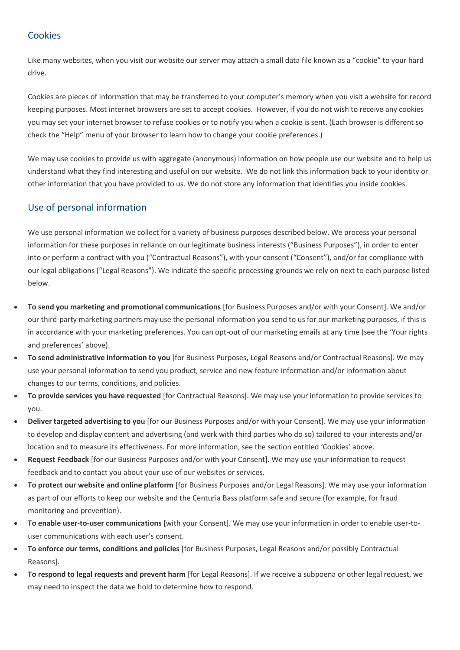# **Cookies**

Like many websites, when you visit our website our server may attach a small data file known as a "cookie" to your hard drive.

Cookies are pieces of information that may be transferred to your computer's memory when you visit a website for record keeping purposes. Most internet browsers are set to accept cookies. However, if you do not wish to receive any cookies you may set your internet browser to refuse cookies or to notify you when a cookie is sent. (Each browser is different so check the "Help" menu of your browser to learn how to change your cookie preferences.)

We may use cookies to provide us with aggregate (anonymous) information on how people use our website and to help us understand what they find interesting and useful on our website. We do not link this information back to your identity or other information that you have provided to us. We do not store any information that identifies you inside cookies.

### Use of personal information

We use personal information we collect for a variety of business purposes described below. We process your personal information for these purposes in reliance on our legitimate business interests ("Business Purposes"), in order to enter into or perform a contract with you ("Contractual Reasons"), with your consent ("Consent"), and/or for compliance with our legal obligations ("Legal Reasons"). We indicate the specific processing grounds we rely on next to each purpose listed below.

- **To send you marketing and promotional communications** [for Business Purposes and/or with your Consent]. We and/or our third-party marketing partners may use the personal information you send to us for our marketing purposes, if this is in accordance with your marketing preferences. You can opt-out of our marketing emails at any time (see the 'Your rights and preferences' above).
- **To send administrative information to you** [for Business Purposes, Legal Reasons and/or Contractual Reasons]. We may use your personal information to send you product, service and new feature information and/or information about changes to our terms, conditions, and policies.
- **To provide services you have requested** [for Contractual Reasons]. We may use your information to provide services to you.
- **Deliver targeted advertising to you** [for our Business Purposes and/or with your Consent]. We may use your information to develop and display content and advertising (and work with third parties who do so) tailored to your interests and/or location and to measure its effectiveness. For more information, see the section entitled 'Cookies' above.
- **Request Feedback** [for our Business Purposes and/or with your Consent]. We may use your information to request feedback and to contact you about your use of our websites or services.
- **To protect our website and online platform** [for Business Purposes and/or Legal Reasons]. We may use your information as part of our efforts to keep our website and the Centuria Bass platform safe and secure (for example, for fraud monitoring and prevention).
- **To enable user-to-user communications** [with your Consent]. We may use your information in order to enable user-touser communications with each user's consent.
- **To enforce our terms, conditions and policies** [for Business Purposes, Legal Reasons and/or possibly Contractual Reasons].
- **To respond to legal requests and prevent harm** [for Legal Reasons]. If we receive a subpoena or other legal request, we may need to inspect the data we hold to determine how to respond.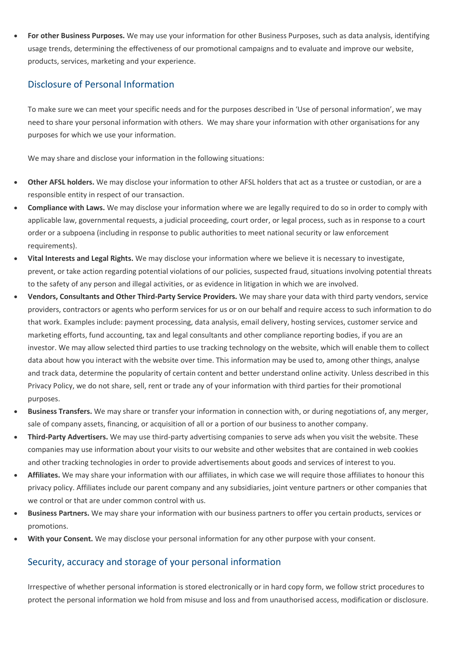• **For other Business Purposes.** We may use your information for other Business Purposes, such as data analysis, identifying usage trends, determining the effectiveness of our promotional campaigns and to evaluate and improve our website, products, services, marketing and your experience.

### Disclosure of Personal Information

To make sure we can meet your specific needs and for the purposes described in 'Use of personal information', we may need to share your personal information with others. We may share your information with other organisations for any purposes for which we use your information.

We may share and disclose your information in the following situations:

- **Other AFSL holders.** We may disclose your information to other AFSL holders that act as a trustee or custodian, or are a responsible entity in respect of our transaction.
- **Compliance with Laws.** We may disclose your information where we are legally required to do so in order to comply with applicable law, governmental requests, a judicial proceeding, court order, or legal process, such as in response to a court order or a subpoena (including in response to public authorities to meet national security or law enforcement requirements).
- **Vital Interests and Legal Rights.** We may disclose your information where we believe it is necessary to investigate, prevent, or take action regarding potential violations of our policies, suspected fraud, situations involving potential threats to the safety of any person and illegal activities, or as evidence in litigation in which we are involved.
- **Vendors, Consultants and Other Third-Party Service Providers.** We may share your data with third party vendors, service providers, contractors or agents who perform services for us or on our behalf and require access to such information to do that work. Examples include: payment processing, data analysis, email delivery, hosting services, customer service and marketing efforts, fund accounting, tax and legal consultants and other compliance reporting bodies, if you are an investor. We may allow selected third parties to use tracking technology on the website, which will enable them to collect data about how you interact with the website over time. This information may be used to, among other things, analyse and track data, determine the popularity of certain content and better understand online activity. Unless described in this Privacy Policy, we do not share, sell, rent or trade any of your information with third parties for their promotional purposes.
- **Business Transfers.** We may share or transfer your information in connection with, or during negotiations of, any merger, sale of company assets, financing, or acquisition of all or a portion of our business to another company.
- **Third-Party Advertisers.** We may use third-party advertising companies to serve ads when you visit the website. These companies may use information about your visits to our website and other websites that are contained in web cookies and other tracking technologies in order to provide advertisements about goods and services of interest to you.
- **Affiliates.** We may share your information with our affiliates, in which case we will require those affiliates to honour this privacy policy. Affiliates include our parent company and any subsidiaries, joint venture partners or other companies that we control or that are under common control with us.
- **Business Partners.** We may share your information with our business partners to offer you certain products, services or promotions.
- **With your Consent.** We may disclose your personal information for any other purpose with your consent.

#### Security, accuracy and storage of your personal information

Irrespective of whether personal information is stored electronically or in hard copy form, we follow strict procedures to protect the personal information we hold from misuse and loss and from unauthorised access, modification or disclosure.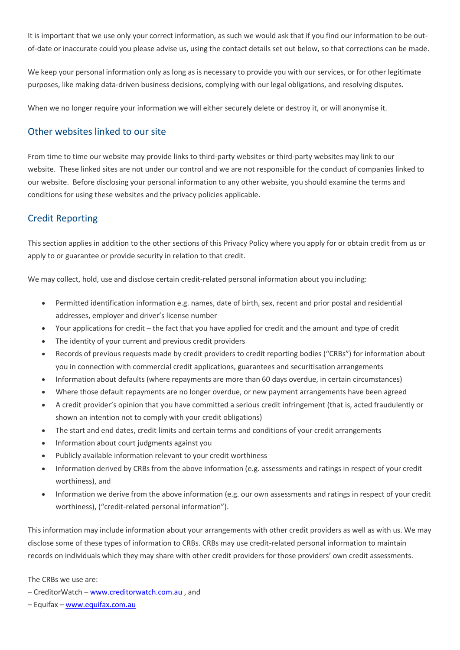It is important that we use only your correct information, as such we would ask that if you find our information to be outof-date or inaccurate could you please advise us, using the contact details set out below, so that corrections can be made.

We keep your personal information only as long as is necessary to provide you with our services, or for other legitimate purposes, like making data-driven business decisions, complying with our legal obligations, and resolving disputes.

When we no longer require your information we will either securely delete or destroy it, or will anonymise it.

#### Other websites linked to our site

From time to time our website may provide links to third-party websites or third-party websites may link to our website. These linked sites are not under our control and we are not responsible for the conduct of companies linked to our website. Before disclosing your personal information to any other website, you should examine the terms and conditions for using these websites and the privacy policies applicable.

### Credit Reporting

This section applies in addition to the other sections of this Privacy Policy where you apply for or obtain credit from us or apply to or guarantee or provide security in relation to that credit.

We may collect, hold, use and disclose certain credit-related personal information about you including:

- Permitted identification information e.g. names, date of birth, sex, recent and prior postal and residential addresses, employer and driver's license number
- Your applications for credit the fact that you have applied for credit and the amount and type of credit
- The identity of your current and previous credit providers
- Records of previous requests made by credit providers to credit reporting bodies ("CRBs") for information about you in connection with commercial credit applications, guarantees and securitisation arrangements
- Information about defaults (where repayments are more than 60 days overdue, in certain circumstances)
- Where those default repayments are no longer overdue, or new payment arrangements have been agreed
- A credit provider's opinion that you have committed a serious credit infringement (that is, acted fraudulently or shown an intention not to comply with your credit obligations)
- The start and end dates, credit limits and certain terms and conditions of your credit arrangements
- Information about court judgments against you
- Publicly available information relevant to your credit worthiness
- Information derived by CRBs from the above information (e.g. assessments and ratings in respect of your credit worthiness), and
- Information we derive from the above information (e.g. our own assessments and ratings in respect of your credit worthiness), ("credit-related personal information").

This information may include information about your arrangements with other credit providers as well as with us. We may disclose some of these types of information to CRBs. CRBs may use credit-related personal information to maintain records on individuals which they may share with other credit providers for those providers' own credit assessments.

The CRBs we use are:

– CreditorWatch – [www.creditorwatch.com.au](http://www.creditorwatch.com.au/) , and

– Equifax – [www.equifax.com.au](http://www.equifax.com.au/)